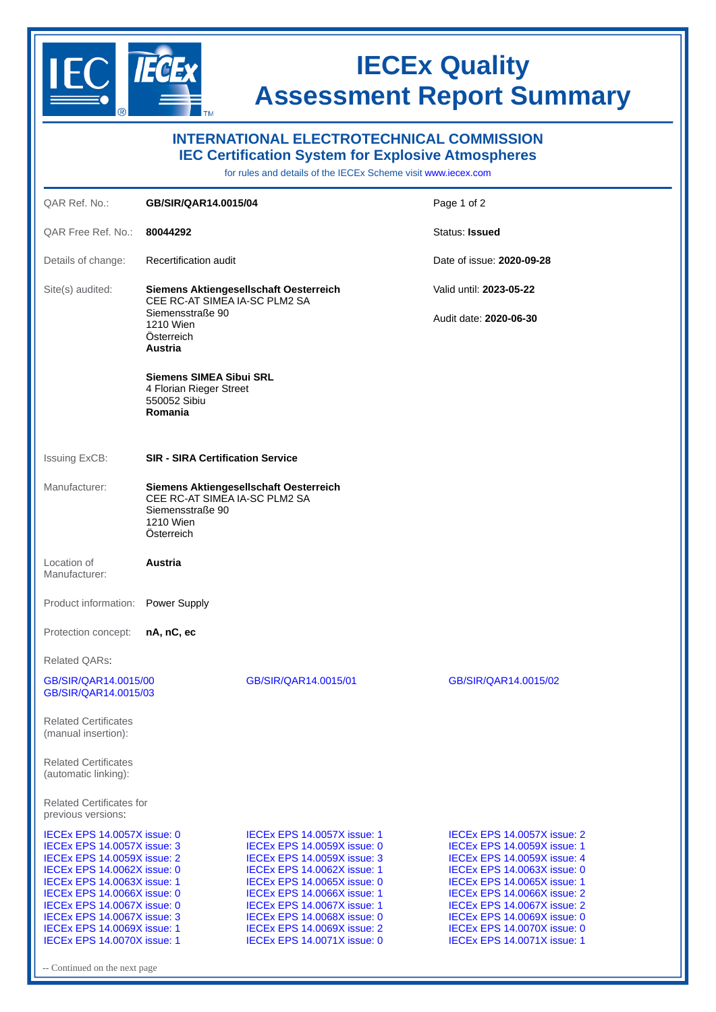

Continued on the next page

## **IECEx Quality Assessment Report Summary**

| <b>INTERNATIONAL ELECTROTECHNICAL COMMISSION</b><br><b>IEC Certification System for Explosive Atmospheres</b><br>for rules and details of the IECEx Scheme visit www.iecex.com                                                                                                                                                                                             |                                                                                                                                   |                                                                                                                                                                                                                                                                                                                                                                     |                                                                                                                                                                                                                                                                                                                                                              |
|----------------------------------------------------------------------------------------------------------------------------------------------------------------------------------------------------------------------------------------------------------------------------------------------------------------------------------------------------------------------------|-----------------------------------------------------------------------------------------------------------------------------------|---------------------------------------------------------------------------------------------------------------------------------------------------------------------------------------------------------------------------------------------------------------------------------------------------------------------------------------------------------------------|--------------------------------------------------------------------------------------------------------------------------------------------------------------------------------------------------------------------------------------------------------------------------------------------------------------------------------------------------------------|
| OAR Ref. No.:                                                                                                                                                                                                                                                                                                                                                              | GB/SIR/QAR14.0015/04                                                                                                              |                                                                                                                                                                                                                                                                                                                                                                     | Page 1 of 2                                                                                                                                                                                                                                                                                                                                                  |
| QAR Free Ref. No.:                                                                                                                                                                                                                                                                                                                                                         | 80044292                                                                                                                          |                                                                                                                                                                                                                                                                                                                                                                     | Status: Issued                                                                                                                                                                                                                                                                                                                                               |
| Details of change:                                                                                                                                                                                                                                                                                                                                                         | Recertification audit                                                                                                             |                                                                                                                                                                                                                                                                                                                                                                     | Date of issue: <b>2020-09-28</b>                                                                                                                                                                                                                                                                                                                             |
| Site(s) audited:                                                                                                                                                                                                                                                                                                                                                           | Siemens Aktiengesellschaft Oesterreich<br>CEE RC-AT SIMEA IA-SC PLM2 SA<br>Siemensstraße 90<br>1210 Wien<br>Österreich<br>Austria |                                                                                                                                                                                                                                                                                                                                                                     | Valid until: 2023-05-22                                                                                                                                                                                                                                                                                                                                      |
|                                                                                                                                                                                                                                                                                                                                                                            |                                                                                                                                   |                                                                                                                                                                                                                                                                                                                                                                     | Audit date: 2020-06-30                                                                                                                                                                                                                                                                                                                                       |
|                                                                                                                                                                                                                                                                                                                                                                            | <b>Siemens SIMEA Sibui SRL</b><br>4 Florian Rieger Street<br>550052 Sibiu<br>Romania                                              |                                                                                                                                                                                                                                                                                                                                                                     |                                                                                                                                                                                                                                                                                                                                                              |
| <b>Issuing ExCB:</b>                                                                                                                                                                                                                                                                                                                                                       | <b>SIR - SIRA Certification Service</b>                                                                                           |                                                                                                                                                                                                                                                                                                                                                                     |                                                                                                                                                                                                                                                                                                                                                              |
| Manufacturer:                                                                                                                                                                                                                                                                                                                                                              | Siemens Aktiengesellschaft Oesterreich<br>CEE RC-AT SIMEA IA-SC PLM2 SA<br>Siemensstraße 90<br>1210 Wien<br>Österreich            |                                                                                                                                                                                                                                                                                                                                                                     |                                                                                                                                                                                                                                                                                                                                                              |
| Location of<br>Manufacturer:                                                                                                                                                                                                                                                                                                                                               | <b>Austria</b>                                                                                                                    |                                                                                                                                                                                                                                                                                                                                                                     |                                                                                                                                                                                                                                                                                                                                                              |
| Product information:                                                                                                                                                                                                                                                                                                                                                       | Power Supply                                                                                                                      |                                                                                                                                                                                                                                                                                                                                                                     |                                                                                                                                                                                                                                                                                                                                                              |
| Protection concept:                                                                                                                                                                                                                                                                                                                                                        | nA, nC, ec                                                                                                                        |                                                                                                                                                                                                                                                                                                                                                                     |                                                                                                                                                                                                                                                                                                                                                              |
| Related QARs:                                                                                                                                                                                                                                                                                                                                                              |                                                                                                                                   |                                                                                                                                                                                                                                                                                                                                                                     |                                                                                                                                                                                                                                                                                                                                                              |
| GB/SIR/QAR14.0015/00<br>GB/SIR/QAR14.0015/03                                                                                                                                                                                                                                                                                                                               |                                                                                                                                   | GB/SIR/OAR14.0015/01                                                                                                                                                                                                                                                                                                                                                | GB/SIR/QAR14.0015/02                                                                                                                                                                                                                                                                                                                                         |
| <b>Related Certificates</b><br>(manual insertion):                                                                                                                                                                                                                                                                                                                         |                                                                                                                                   |                                                                                                                                                                                                                                                                                                                                                                     |                                                                                                                                                                                                                                                                                                                                                              |
| <b>Related Certificates</b><br>(automatic linking):                                                                                                                                                                                                                                                                                                                        |                                                                                                                                   |                                                                                                                                                                                                                                                                                                                                                                     |                                                                                                                                                                                                                                                                                                                                                              |
| <b>Related Certificates for</b><br>previous versions.                                                                                                                                                                                                                                                                                                                      |                                                                                                                                   |                                                                                                                                                                                                                                                                                                                                                                     |                                                                                                                                                                                                                                                                                                                                                              |
| <b>IECEX EPS 14.0057X issue: 0</b><br><b>IECEX EPS 14.0057X issue: 3</b><br><b>IECEX EPS 14.0059X issue: 2</b><br><b>IECEX EPS 14.0062X issue: 0</b><br><b>IECEX EPS 14.0063X issue: 1</b><br>IECEX EPS 14.0066X issue: 0<br><b>IECEX EPS 14.0067X issue: 0</b><br>IECEX EPS 14.0067X issue: 3<br><b>IECEX EPS 14.0069X issue: 1</b><br><b>IECEX EPS 14.0070X issue: 1</b> |                                                                                                                                   | <b>IECEX EPS 14.0057X issue: 1</b><br><b>IECEX EPS 14.0059X issue: 0</b><br><b>IECEX EPS 14.0059X issue: 3</b><br><b>IECEX EPS 14.0062X issue: 1</b><br><b>IECEX EPS 14.0065X issue: 0</b><br>IECEX EPS 14.0066X issue: 1<br><b>IECEX EPS 14.0067X issue: 1</b><br><b>IECEX EPS 14.0068X issue: 0</b><br>IECEX EPS 14.0069X issue: 2<br>IECEX EPS 14.0071X issue: 0 | <b>IECEX EPS 14.0057X issue: 2</b><br><b>IECEX EPS 14.0059X issue: 1</b><br>IECEX EPS 14.0059X issue: 4<br>IECEX EPS 14.0063X issue: 0<br><b>IECEX EPS 14.0065X issue: 1</b><br><b>IECEX EPS 14.0066X issue: 2</b><br>IECEx EPS 14.0067X issue: 2<br>IECEX EPS 14.0069X issue: 0<br><b>IECEX EPS 14.0070X issue: 0</b><br><b>IECEX EPS 14.0071X issue: 1</b> |